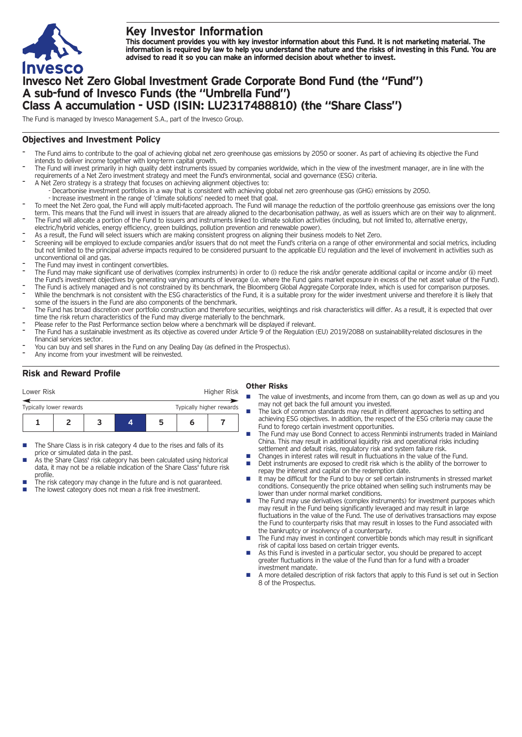

# **Key Investor Information**

This document provides you with key investor information about this Fund. It is not marketing material. The information is required by law to help you understand the nature and the risks of investing in this Fund. You are **advised to read it so you can make an informed decision about whether to invest.**

# **Invesco Net Zero Global Investment Grade Corporate Bond Fund (the "Fund") A sub-fund of Invesco Funds (the "Umbrella Fund") Class A accumulation - USD (ISIN: LU2317488810) (the "Share Class")**

The Fund is managed by Invesco Management S.A., part of the Invesco Group.

### **Objectives and Investment Policy**

- The Fund aims to contribute to the goal of achieving global net zero greenhouse gas emissions by 2050 or sooner. As part of achieving its objective the Fund intends to deliver income together with long-term capital growth.
- The Fund will invest primarily in high quality debt instruments issued by companies worldwide, which in the view of the investment manager, are in line with the requirements of a Net Zero investment strategy and meet the Fund's environmental, social and governance (ESG) criteria.
- A Net Zero strategy is a strategy that focuses on achieving alignment objectives to: - Decarbonise investment portfolios in a way that is consistent with achieving global net zero greenhouse gas (GHG) emissions by 2050.
	- Increase investment in the range of 'climate solutions' needed to meet that goal.
- To meet the Net Zero goal, the Fund will apply multi-faceted approach. The Fund will manage the reduction of the portfolio greenhouse gas emissions over the long term. This means that the Fund will invest in issuers that are already aligned to the decarbonisation pathway, as well as issuers which are on their way to alignment. The Fund will allocate a portion of the Fund to issuers and instruments linked to climate solution activities (including, but not limited to, alternative energy,
- electric/hybrid vehicles, energy efficiency, green buildings, pollution prevention and renewable power).
- As a result, the Fund will select issuers which are making consistent progress on aligning their business models to Net Zero.
- Screening will be employed to exclude companies and/or issuers that do not meet the Fund's criteria on a range of other environmental and social metrics, including but not limited to the principal adverse impacts required to be considered pursuant to the applicable EU regulation and the level of involvement in activities such as unconventional oil and gas.
- The Fund may invest in contingent convertibles.
- The Fund may make significant use of derivatives (complex instruments) in order to (i) reduce the risk and/or generate additional capital or income and/or (ii) meet the Fund's investment objectives by generating varying amounts of leverage (i.e. where the Fund gains market exposure in excess of the net asset value of the Fund).
- The Fund is actively managed and is not constrained by its benchmark, the Bloomberg Global Aggregate Corporate Index, which is used for comparison purposes. While the benchmark is not consistent with the ESG characteristics of the Fund, it is a suitable proxy for the wider investment universe and therefore it is likely that some of the issuers in the Fund are also components of the benchmark.
- The Fund has broad discretion over portfolio construction and therefore securities, weightings and risk characteristics will differ. As a result, it is expected that over time the risk return characteristics of the Fund may diverge materially to the benchmark.
- Please refer to the Past Performance section below where a benchmark will be displayed if relevant.
- The Fund has a sustainable investment as its objective as covered under Article 9 of the Regulation (EU) 2019/2088 on sustainability-related disclosures in the financial services sector.
- You can buy and sell shares in the Fund on any Dealing Day (as defined in the Prospectus).
- Any income from your investment will be reinvested.

## **Risk and Reward Profile**

| Lower Risk                                          |  |  |  |  | Higher Risk |  |  |
|-----------------------------------------------------|--|--|--|--|-------------|--|--|
| Typically higher rewards<br>Typically lower rewards |  |  |  |  |             |  |  |
|                                                     |  |  |  |  | n           |  |  |

- The Share Class is in risk category 4 due to the rises and falls of its price or simulated data in the past.
- As the Share Class' risk category has been calculated using historical data, it may not be a reliable indication of the Share Class' future risk profile.
- The risk category may change in the future and is not guaranteed. The lowest category does not mean a risk free investment.

#### **Other Risks**

- The value of investments, and income from them, can go down as well as up and you may not get back the full amount you invested.
- The lack of common standards may result in different approaches to setting and achieving ESG objectives. In addition, the respect of the ESG criteria may cause the Fund to forego certain investment opportunities.
- The Fund may use Bond Connect to access Renminbi instruments traded in Mainland China. This may result in additional liquidity risk and operational risks including settlement and default risks, regulatory risk and system failure risk.
- Changes in interest rates will result in fluctuations in the value of the Fund.<br>■ Debt instruments are exposed to credit risk which is the ability of the borre
- Debt instruments are exposed to credit risk which is the ability of the borrower to repay the interest and capital on the redemption date.
- $\blacksquare$  It may be difficult for the Fund to buy or sell certain instruments in stressed market conditions. Consequently the price obtained when selling such instruments may be lower than under normal market conditions.
- The Fund may use derivatives (complex instruments) for investment purposes which may result in the Fund being significantly leveraged and may result in large fluctuations in the value of the Fund. The use of derivatives transactions may expose the Fund to counterparty risks that may result in losses to the Fund associated with the bankruptcy or insolvency of a counterparty.
- The Fund may invest in contingent convertible bonds which may result in significant risk of capital loss based on certain trigger events.
- n As this Fund is invested in a particular sector, you should be prepared to accept greater fluctuations in the value of the Fund than for a fund with a broader investment mandate.
- n A more detailed description of risk factors that apply to this Fund is set out in Section 8 of the Prospectus.